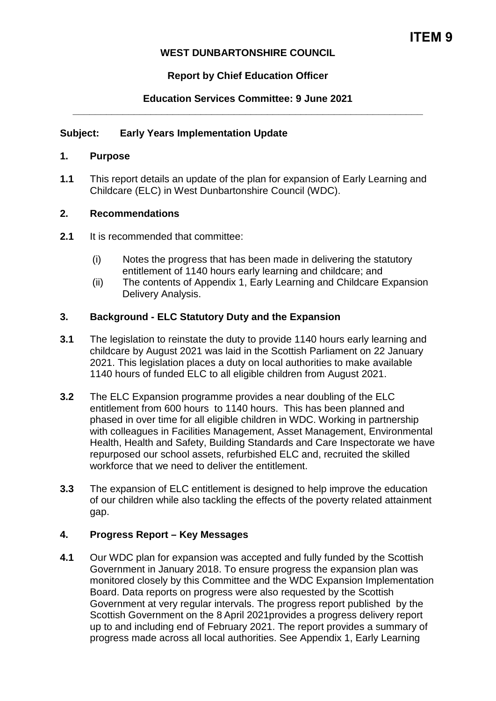## **WEST DUNBARTONSHIRE COUNCIL**

# **Report by Chief Education Officer**

## **Education Services Committee: 9 June 2021 \_\_\_\_\_\_\_\_\_\_\_\_\_\_\_\_\_\_\_\_\_\_\_\_\_\_\_\_\_\_\_\_\_\_\_\_\_\_\_\_\_\_\_\_\_\_\_\_\_\_\_\_\_\_\_\_\_\_\_\_\_\_\_**

### **Subject: Early Years Implementation Update**

#### **1. Purpose**

**1.1** This report details an update of the plan for expansion of Early Learning and Childcare (ELC) in West Dunbartonshire Council (WDC).

### **2. Recommendations**

- **2.1** It is recommended that committee:
	- (i) Notes the progress that has been made in delivering the statutory entitlement of 1140 hours early learning and childcare; and
	- (ii) The contents of Appendix 1, Early Learning and Childcare Expansion Delivery Analysis.

### **3. Background - ELC Statutory Duty and the Expansion**

- **3.1** The legislation to reinstate the duty to provide 1140 hours early learning and childcare by August 2021 was laid in the Scottish Parliament on 22 January 2021. This legislation places a duty on local authorities to make available 1140 hours of funded ELC to all eligible children from August 2021.
- **3.2** The ELC Expansion programme provides a near doubling of the ELC entitlement from 600 hours to 1140 hours. This has been planned and phased in over time for all eligible children in WDC. Working in partnership with colleagues in Facilities Management, Asset Management, Environmental Health, Health and Safety, Building Standards and Care Inspectorate we have repurposed our school assets, refurbished ELC and, recruited the skilled workforce that we need to deliver the entitlement.
- **3.3** The expansion of ELC entitlement is designed to help improve the education of our children while also tackling the effects of the poverty related attainment gap.

### **4. Progress Report – Key Messages**

**4.1** Our WDC plan for expansion was accepted and fully funded by the Scottish Government in January 2018. To ensure progress the expansion plan was monitored closely by this Committee and the WDC Expansion Implementation Board. Data reports on progress were also requested by the Scottish Government at very regular intervals. The progress report published by the Scottish Government on the 8 April 2021provides a progress delivery report up to and including end of February 2021. The report provides a summary of progress made across all local authorities. See Appendix 1, Early Learning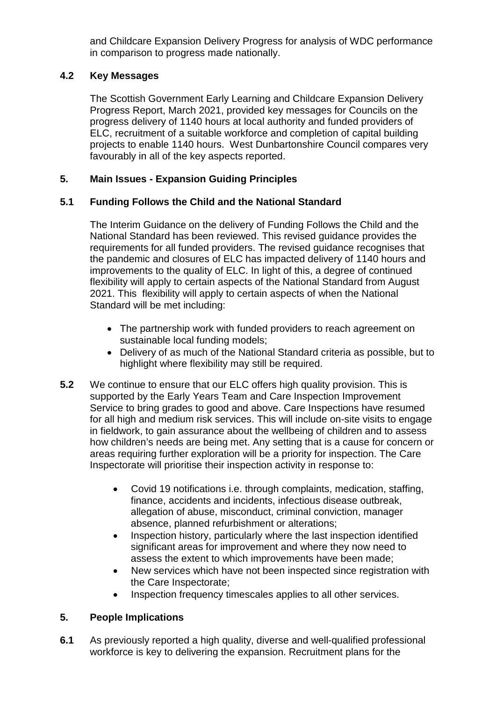and Childcare Expansion Delivery Progress for analysis of WDC performance in comparison to progress made nationally.

## **4.2 Key Messages**

The Scottish Government Early Learning and Childcare Expansion Delivery Progress Report, March 2021, provided key messages for Councils on the progress delivery of 1140 hours at local authority and funded providers of ELC, recruitment of a suitable workforce and completion of capital building projects to enable 1140 hours. West Dunbartonshire Council compares very favourably in all of the key aspects reported.

# **5. Main Issues - Expansion Guiding Principles**

# **5.1 Funding Follows the Child and the National Standard**

The Interim Guidance on the delivery of Funding Follows the Child and the National Standard has been reviewed. This revised guidance provides the requirements for all funded providers. The revised guidance recognises that the pandemic and closures of ELC has impacted delivery of 1140 hours and improvements to the quality of ELC. In light of this, a degree of continued flexibility will apply to certain aspects of the National Standard from August 2021. This flexibility will apply to certain aspects of when the National Standard will be met including:

- The partnership work with funded providers to reach agreement on sustainable local funding models;
- Delivery of as much of the National Standard criteria as possible, but to highlight where flexibility may still be required.
- **5.2** We continue to ensure that our ELC offers high quality provision. This is supported by the Early Years Team and Care Inspection Improvement Service to bring grades to good and above. Care Inspections have resumed for all high and medium risk services. This will include on-site visits to engage in fieldwork, to gain assurance about the wellbeing of children and to assess how children's needs are being met. Any setting that is a cause for concern or areas requiring further exploration will be a priority for inspection. The Care Inspectorate will prioritise their inspection activity in response to:
	- Covid 19 notifications i.e. through complaints, medication, staffing, finance, accidents and incidents, infectious disease outbreak, allegation of abuse, misconduct, criminal conviction, manager absence, planned refurbishment or alterations;
	- Inspection history, particularly where the last inspection identified significant areas for improvement and where they now need to assess the extent to which improvements have been made;
	- New services which have not been inspected since registration with the Care Inspectorate;
	- Inspection frequency timescales applies to all other services.

# **5. People Implications**

**6.1** As previously reported a high quality, diverse and well-qualified professional workforce is key to delivering the expansion. Recruitment plans for the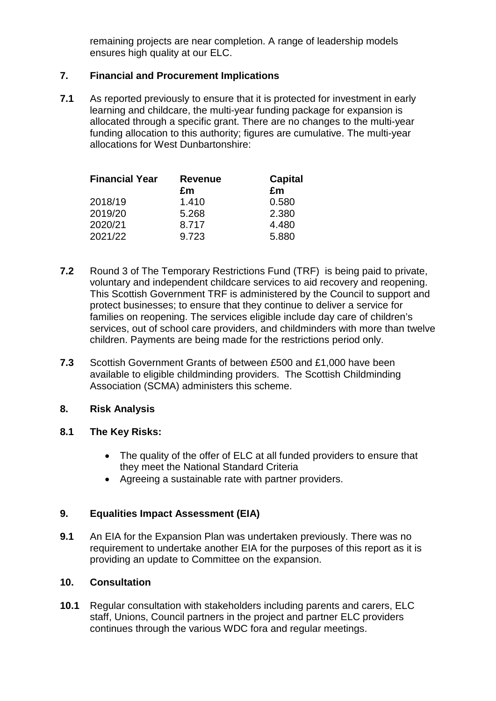remaining projects are near completion. A range of leadership models ensures high quality at our ELC.

### **7. Financial and Procurement Implications**

**7.1** As reported previously to ensure that it is protected for investment in early learning and childcare, the multi-year funding package for expansion is allocated through a specific grant. There are no changes to the multi-year funding allocation to this authority; figures are cumulative. The multi-year allocations for West Dunbartonshire:

| <b>Financial Year</b> | <b>Revenue</b> | <b>Capital</b> |
|-----------------------|----------------|----------------|
|                       | £m             | £m             |
| 2018/19               | 1.410          | 0.580          |
| 2019/20               | 5.268          | 2.380          |
| 2020/21               | 8.717          | 4.480          |
| 2021/22               | 9.723          | 5.880          |

- **7.2** Round 3 of The Temporary Restrictions Fund (TRF) is being paid to private, voluntary and independent childcare services to aid recovery and reopening. This Scottish Government TRF is administered by the Council to support and protect businesses; to ensure that they continue to deliver a service for families on reopening. The services eligible include day care of children's services, out of school care providers, and childminders with more than twelve children. Payments are being made for the restrictions period only.
- **7.3** Scottish Government Grants of between £500 and £1,000 have been available to eligible childminding providers. The Scottish Childminding Association (SCMA) administers this scheme.

### **8. Risk Analysis**

### **8.1 The Key Risks:**

- The quality of the offer of ELC at all funded providers to ensure that they meet the National Standard Criteria
- Agreeing a sustainable rate with partner providers.

## **9. Equalities Impact Assessment (EIA)**

**9.1** An EIA for the Expansion Plan was undertaken previously. There was no requirement to undertake another EIA for the purposes of this report as it is providing an update to Committee on the expansion.

### **10. Consultation**

**10.1** Regular consultation with stakeholders including parents and carers, ELC staff, Unions, Council partners in the project and partner ELC providers continues through the various WDC fora and regular meetings.